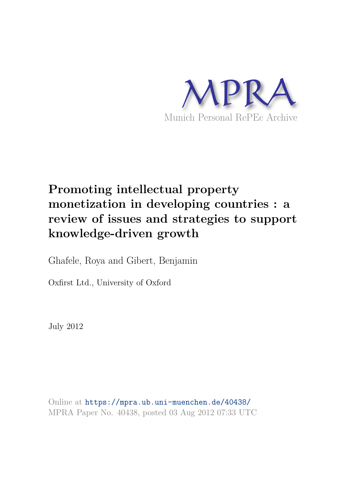

# **Promoting intellectual property monetization in developing countries : a review of issues and strategies to support knowledge-driven growth**

Ghafele, Roya and Gibert, Benjamin

Oxfirst Ltd., University of Oxford

July 2012

Online at https://mpra.ub.uni-muenchen.de/40438/ MPRA Paper No. 40438, posted 03 Aug 2012 07:33 UTC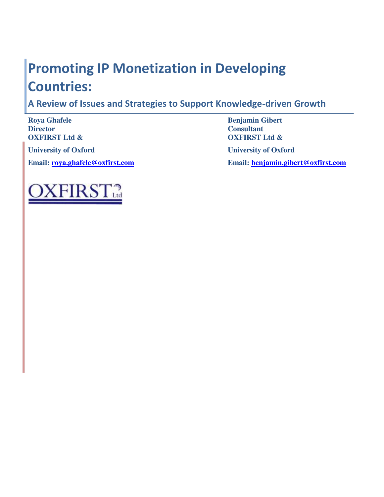# **Promoting IP Monetization in Developing Countries:**

**A Review of Issues and Strategies to Support Knowledge-driven Growth** 

 $\frac{1}{2}$ FIRS.

**Roya Ghafele Benjamin Gibert Benjamin Gibert Director Director Consultant OXFIRST Ltd & OXFIRST Ltd & University of Oxford University of Oxford Email: [roya.ghafele@oxfirst.com](mailto:roya.ghafele@oxfirst.com) Email: [benjamin.gibert@oxfirst.com](mailto:benjamin.gibert@oxfirst.com)**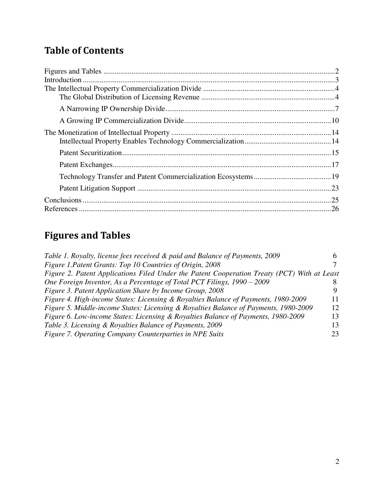# **Table of Contents**

# **Figures and Tables**

| Table 1. Royalty, license fees received & paid and Balance of Payments, 2009                |    |
|---------------------------------------------------------------------------------------------|----|
| Figure 1. Patent Grants: Top 10 Countries of Origin, 2008                                   |    |
| Figure 2. Patent Applications Filed Under the Patent Cooperation Treaty (PCT) With at Least |    |
| One Foreign Inventor, As a Percentage of Total PCT Filings, 1990 – 2009                     |    |
| Figure 3. Patent Application Share by Income Group, 2008                                    |    |
| Figure 4. High-income States: Licensing & Royalties Balance of Payments, 1980-2009          | 11 |
| Figure 5. Middle-income States: Licensing & Royalties Balance of Payments, 1980-2009        | 12 |
| Figure 6. Low-income States: Licensing & Royalties Balance of Payments, 1980-2009           | 13 |
| Table 3. Licensing & Royalties Balance of Payments, 2009                                    | 13 |
| Figure 7. Operating Company Counterparties in NPE Suits                                     | 23 |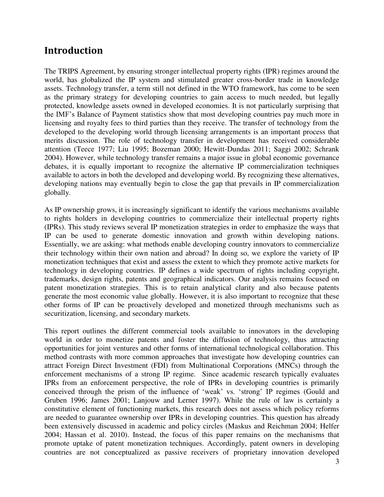### **Introduction**

The TRIPS Agreement, by ensuring stronger intellectual property rights (IPR) regimes around the world, has globalized the IP system and stimulated greater cross-border trade in knowledge assets. Technology transfer, a term still not defined in the WTO framework, has come to be seen as the primary strategy for developing countries to gain access to much needed, but legally protected, knowledge assets owned in developed economies. It is not particularly surprising that the IMF's Balance of Payment statistics show that most developing countries pay much more in licensing and royalty fees to third parties than they receive. The transfer of technology from the developed to the developing world through licensing arrangements is an important process that merits discussion. The role of technology transfer in development has received considerable attention (Teece 1977; Liu 1995; Bozeman 2000; Hewitt-Dundas 2011; Saggi 2002; Schrank 2004). However, while technology transfer remains a major issue in global economic governance debates, it is equally important to recognize the alternative IP commercialization techniques available to actors in both the developed and developing world. By recognizing these alternatives, developing nations may eventually begin to close the gap that prevails in IP commercialization globally.

As IP ownership grows, it is increasingly significant to identify the various mechanisms available to rights holders in developing countries to commercialize their intellectual property rights (IPRs). This study reviews several IP monetization strategies in order to emphasize the ways that IP can be used to generate domestic innovation and growth within developing nations. Essentially, we are asking: what methods enable developing country innovators to commercialize their technology within their own nation and abroad? In doing so, we explore the variety of IP monetization techniques that exist and assess the extent to which they promote active markets for technology in developing countries. IP defines a wide spectrum of rights including copyright, trademarks, design rights, patents and geographical indicators. Our analysis remains focused on patent monetization strategies. This is to retain analytical clarity and also because patents generate the most economic value globally. However, it is also important to recognize that these other forms of IP can be proactively developed and monetized through mechanisms such as securitization, licensing, and secondary markets.

This report outlines the different commercial tools available to innovators in the developing world in order to monetize patents and foster the diffusion of technology, thus attracting opportunities for joint ventures and other forms of international technological collaboration. This method contrasts with more common approaches that investigate how developing countries can attract Foreign Direct Investment (FDI) from Multinational Corporations (MNCs) through the enforcement mechanisms of a strong IP regime. Since academic research typically evaluates IPRs from an enforcement perspective, the role of IPRs in developing countries is primarily conceived through the prism of the influence of 'weak' vs. 'strong' IP regimes (Gould and Gruben 1996; James 2001; Lanjouw and Lerner 1997). While the rule of law is certainly a constitutive element of functioning markets, this research does not assess which policy reforms are needed to guarantee ownership over IPRs in developing countries. This question has already been extensively discussed in academic and policy circles (Maskus and Reichman 2004; Helfer 2004; Hassan et al. 2010). Instead, the focus of this paper remains on the mechanisms that promote uptake of patent monetization techniques. Accordingly, patent owners in developing countries are not conceptualized as passive receivers of proprietary innovation developed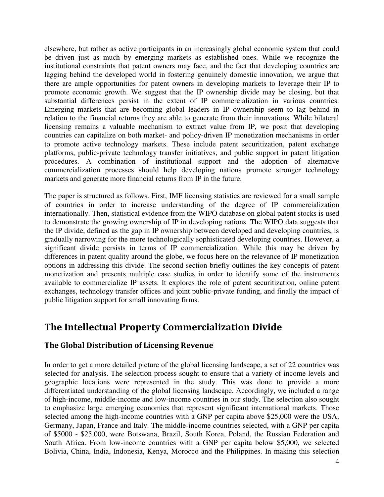elsewhere, but rather as active participants in an increasingly global economic system that could be driven just as much by emerging markets as established ones. While we recognize the institutional constraints that patent owners may face, and the fact that developing countries are lagging behind the developed world in fostering genuinely domestic innovation, we argue that there are ample opportunities for patent owners in developing markets to leverage their IP to promote economic growth. We suggest that the IP ownership divide may be closing, but that substantial differences persist in the extent of IP commercialization in various countries. Emerging markets that are becoming global leaders in IP ownership seem to lag behind in relation to the financial returns they are able to generate from their innovations. While bilateral licensing remains a valuable mechanism to extract value from IP, we posit that developing countries can capitalize on both market- and policy-driven IP monetization mechanisms in order to promote active technology markets. These include patent securitization, patent exchange platforms, public-private technology transfer initiatives, and public support in patent litigation procedures. A combination of institutional support and the adoption of alternative commercialization processes should help developing nations promote stronger technology markets and generate more financial returns from IP in the future.

The paper is structured as follows. First, IMF licensing statistics are reviewed for a small sample of countries in order to increase understanding of the degree of IP commercialization internationally. Then, statistical evidence from the WIPO database on global patent stocks is used to demonstrate the growing ownership of IP in developing nations. The WIPO data suggests that the IP divide, defined as the gap in IP ownership between developed and developing countries, is gradually narrowing for the more technologically sophisticated developing countries. However, a significant divide persists in terms of IP commercialization. While this may be driven by differences in patent quality around the globe, we focus here on the relevance of IP monetization options in addressing this divide. The second section briefly outlines the key concepts of patent monetization and presents multiple case studies in order to identify some of the instruments available to commercialize IP assets. It explores the role of patent securitization, online patent exchanges, technology transfer offices and joint public-private funding, and finally the impact of public litigation support for small innovating firms.

### **The Intellectual Property Commercialization Divide**

#### **The Global Distribution of Licensing Revenue**

In order to get a more detailed picture of the global licensing landscape, a set of 22 countries was selected for analysis. The selection process sought to ensure that a variety of income levels and geographic locations were represented in the study. This was done to provide a more differentiated understanding of the global licensing landscape. Accordingly, we included a range of high-income, middle-income and low-income countries in our study. The selection also sought to emphasize large emerging economies that represent significant international markets. Those selected among the high-income countries with a GNP per capita above \$25,000 were the USA, Germany, Japan, France and Italy. The middle-income countries selected, with a GNP per capita of \$5000 - \$25,000, were Botswana, Brazil, South Korea, Poland, the Russian Federation and South Africa. From low-income countries with a GNP per capita below \$5,000, we selected Bolivia, China, India, Indonesia, Kenya, Morocco and the Philippines. In making this selection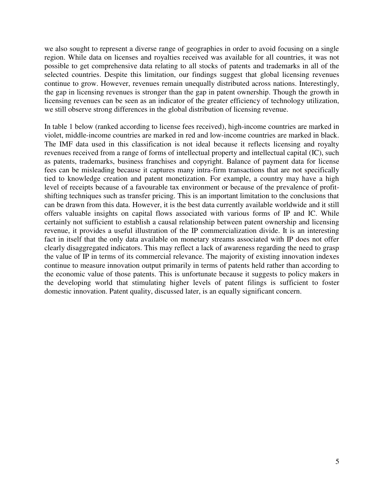we also sought to represent a diverse range of geographies in order to avoid focusing on a single region. While data on licenses and royalties received was available for all countries, it was not possible to get comprehensive data relating to all stocks of patents and trademarks in all of the selected countries. Despite this limitation, our findings suggest that global licensing revenues continue to grow. However, revenues remain unequally distributed across nations. Interestingly, the gap in licensing revenues is stronger than the gap in patent ownership. Though the growth in licensing revenues can be seen as an indicator of the greater efficiency of technology utilization, we still observe strong differences in the global distribution of licensing revenue.

In table 1 below (ranked according to license fees received), high-income countries are marked in violet, middle-income countries are marked in red and low-income countries are marked in black. The IMF data used in this classification is not ideal because it reflects licensing and royalty revenues received from a range of forms of intellectual property and intellectual capital (IC), such as patents, trademarks, business franchises and copyright. Balance of payment data for license fees can be misleading because it captures many intra-firm transactions that are not specifically tied to knowledge creation and patent monetization. For example, a country may have a high level of receipts because of a favourable tax environment or because of the prevalence of profitshifting techniques such as transfer pricing. This is an important limitation to the conclusions that can be drawn from this data. However, it is the best data currently available worldwide and it still offers valuable insights on capital flows associated with various forms of IP and IC. While certainly not sufficient to establish a causal relationship between patent ownership and licensing revenue, it provides a useful illustration of the IP commercialization divide. It is an interesting fact in itself that the only data available on monetary streams associated with IP does not offer clearly disaggregated indicators. This may reflect a lack of awareness regarding the need to grasp the value of IP in terms of its commercial relevance. The majority of existing innovation indexes continue to measure innovation output primarily in terms of patents held rather than according to the economic value of those patents. This is unfortunate because it suggests to policy makers in the developing world that stimulating higher levels of patent filings is sufficient to foster domestic innovation. Patent quality, discussed later, is an equally significant concern.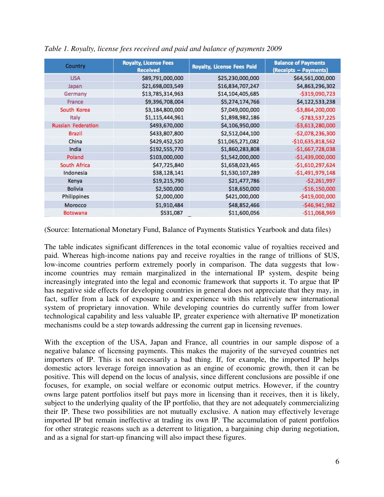| Country                   | <b>Royalty, License Fees</b><br><b>Received</b> | <b>Royalty, License Fees Paid</b> | <b>Balance of Payments</b><br>(Receipts – Payments) |
|---------------------------|-------------------------------------------------|-----------------------------------|-----------------------------------------------------|
| <b>USA</b>                | \$89,791,000,000                                | \$25,230,000,000                  | \$64,561,000,000                                    |
| Japan                     | \$21,698,003,549                                | \$16,834,707,247                  | \$4,863,296,302                                     |
| Germany                   | \$13,785,314,963                                | \$14,104,405,685                  | $-5319,090,723$                                     |
| France                    | \$9,396,708,004                                 | \$5,274,174,766                   | \$4,122,533,238                                     |
| South Korea               | \$3,184,800,000                                 | \$7,049,000,000                   | $-53,864,200,000$                                   |
| Italy                     | \$1,115,444,961                                 | \$1,898,982,186                   | $-5783,537,225$                                     |
| <b>Russian Federation</b> | \$493,670,000                                   | \$4,106,950,000                   | $-53,613,280,000$                                   |
| <b>Brazil</b>             | \$433,807,800                                   | \$2,512,044,100                   | $-52,078,236,300$                                   |
| China                     | \$429,452,520                                   | \$11,065,271,082                  | $-510,635,818,562$                                  |
| India                     | \$192,555,770                                   | \$1,860,283,808                   | $-$1,667,728,038$                                   |
| Poland                    | \$103,000,000                                   | \$1,542,000,000                   | $-$1,439,000,000$                                   |
| South Africa              | \$47,725,840                                    | \$1,658,023,465                   | $-51,610,297,624$                                   |
| Indonesia                 | \$38,128,141                                    | \$1,530,107,289                   | $-51,491,979,148$                                   |
| Kenya                     | \$19,215,790                                    | \$21,477,786                      | $-52,261,997$                                       |
| <b>Bolivia</b>            | \$2,500,000                                     | \$18,650,000                      | $-$16,150,000$                                      |
| Philippines               | \$2,000,000                                     | \$421,000,000                     | $-5419,000,000$                                     |
| Morocco                   | \$1,910,484                                     | \$48,852,466                      | $-546,941,982$                                      |
| <b>Botswana</b>           | \$531,087                                       | \$11,600,056                      | $-$11,068,969$                                      |

*Table 1. Royalty, license fees received and paid and balance of payments 2009* 

(Source: International Monetary Fund, Balance of Payments Statistics Yearbook and data files)

The table indicates significant differences in the total economic value of royalties received and paid. Whereas high-income nations pay and receive royalties in the range of trillions of \$US, low-income countries perform extremely poorly in comparison. The data suggests that lowincome countries may remain marginalized in the international IP system, despite being increasingly integrated into the legal and economic framework that supports it. To argue that IP has negative side effects for developing countries in general does not appreciate that they may, in fact, suffer from a lack of exposure to and experience with this relatively new international system of proprietary innovation. While developing countries do currently suffer from lower technological capability and less valuable IP, greater experience with alternative IP monetization mechanisms could be a step towards addressing the current gap in licensing revenues.

With the exception of the USA, Japan and France, all countries in our sample dispose of a negative balance of licensing payments. This makes the majority of the surveyed countries net importers of IP. This is not necessarily a bad thing. If, for example, the imported IP helps domestic actors leverage foreign innovation as an engine of economic growth, then it can be positive. This will depend on the locus of analysis, since different conclusions are possible if one focuses, for example, on social welfare or economic output metrics. However, if the country owns large patent portfolios itself but pays more in licensing than it receives, then it is likely, subject to the underlying quality of the IP portfolio, that they are not adequately commercializing their IP. These two possibilities are not mutually exclusive. A nation may effectively leverage imported IP but remain ineffective at trading its own IP. The accumulation of patent portfolios for other strategic reasons such as a deterrent to litigation, a bargaining chip during negotiation, and as a signal for start-up financing will also impact these figures.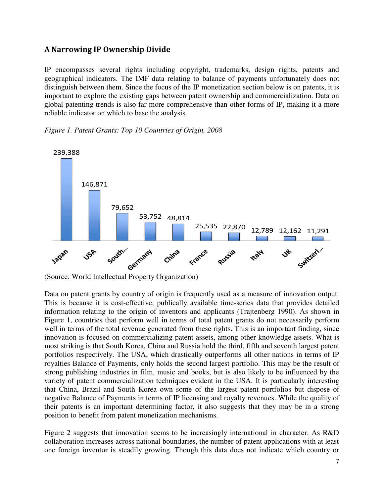#### **A Narrowing IP Ownership Divide**

IP encompasses several rights including copyright, trademarks, design rights, patents and geographical indicators. The IMF data relating to balance of payments unfortunately does not distinguish between them. Since the focus of the IP monetization section below is on patents, it is important to explore the existing gaps between patent ownership and commercialization. Data on global patenting trends is also far more comprehensive than other forms of IP, making it a more reliable indicator on which to base the analysis.

#### *Figure 1. Patent Grants: Top 10 Countries of Origin, 2008*



<sup>(</sup>Source: World Intellectual Property Organization)

Data on patent grants by country of origin is frequently used as a measure of innovation output. This is because it is cost-effective, publically available time-series data that provides detailed information relating to the origin of inventors and applicants (Trajtenberg 1990). As shown in Figure 1, countries that perform well in terms of total patent grants do not necessarily perform well in terms of the total revenue generated from these rights. This is an important finding, since innovation is focused on commercializing patent assets, among other knowledge assets. What is most striking is that South Korea, China and Russia hold the third, fifth and seventh largest patent portfolios respectively. The USA, which drastically outperforms all other nations in terms of IP royalties Balance of Payments, only holds the second largest portfolio. This may be the result of strong publishing industries in film, music and books, but is also likely to be influenced by the variety of patent commercialization techniques evident in the USA. It is particularly interesting that China, Brazil and South Korea own some of the largest patent portfolios but dispose of negative Balance of Payments in terms of IP licensing and royalty revenues. While the quality of their patents is an important determining factor, it also suggests that they may be in a strong position to benefit from patent monetization mechanisms.

Figure 2 suggests that innovation seems to be increasingly international in character. As R&D collaboration increases across national boundaries, the number of patent applications with at least one foreign inventor is steadily growing. Though this data does not indicate which country or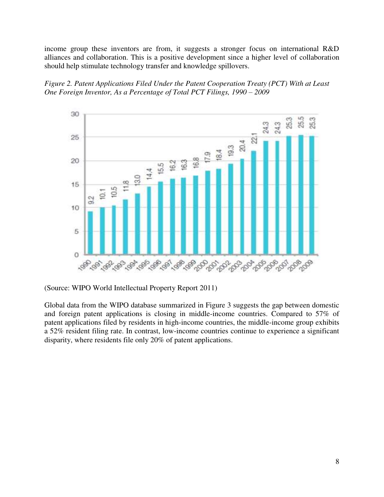income group these inventors are from, it suggests a stronger focus on international R&D alliances and collaboration. This is a positive development since a higher level of collaboration should help stimulate technology transfer and knowledge spillovers.





(Source: WIPO World Intellectual Property Report 2011)

Global data from the WIPO database summarized in Figure 3 suggests the gap between domestic and foreign patent applications is closing in middle-income countries. Compared to 57% of patent applications filed by residents in high-income countries, the middle-income group exhibits a 52% resident filing rate. In contrast, low-income countries continue to experience a significant disparity, where residents file only 20% of patent applications.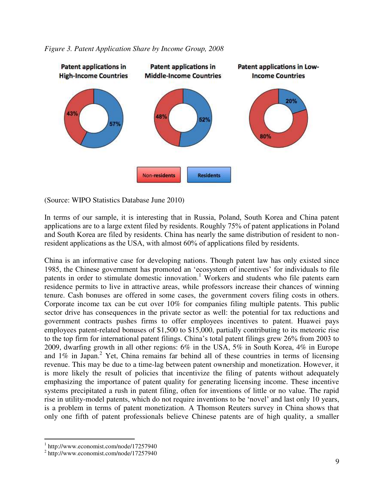



(Source: WIPO Statistics Database June 2010)

In terms of our sample, it is interesting that in Russia, Poland, South Korea and China patent applications are to a large extent filed by residents. Roughly 75% of patent applications in Poland and South Korea are filed by residents. China has nearly the same distribution of resident to nonresident applications as the USA, with almost 60% of applications filed by residents.

China is an informative case for developing nations. Though patent law has only existed since 1985, the Chinese government has promoted an 'ecosystem of incentives' for individuals to file patents in order to stimulate domestic innovation.<sup>1</sup> Workers and students who file patents earn residence permits to live in attractive areas, while professors increase their chances of winning tenure. Cash bonuses are offered in some cases, the government covers filing costs in others. Corporate income tax can be cut over 10% for companies filing multiple patents. This public sector drive has consequences in the private sector as well: the potential for tax reductions and government contracts pushes firms to offer employees incentives to patent. Huawei pays employees patent-related bonuses of \$1,500 to \$15,000, partially contributing to its meteoric rise to the top firm for international patent filings. China's total patent filings grew 26% from 2003 to 2009, dwarfing growth in all other regions: 6% in the USA, 5% in South Korea, 4% in Europe and  $1\%$  in Japan.<sup>2</sup> Yet, China remains far behind all of these countries in terms of licensing revenue. This may be due to a time-lag between patent ownership and monetization. However, it is more likely the result of policies that incentivize the filing of patents without adequately emphasizing the importance of patent quality for generating licensing income. These incentive systems precipitated a rush in patent filing, often for inventions of little or no value. The rapid rise in utility-model patents, which do not require inventions to be 'novel' and last only 10 years, is a problem in terms of patent monetization. A Thomson Reuters survey in China shows that only one fifth of patent professionals believe Chinese patents are of high quality, a smaller

 $\overline{a}$ 

<sup>1</sup> http://www.economist.com/node/17257940

<sup>&</sup>lt;sup>2</sup> http://www.economist.com/node/17257940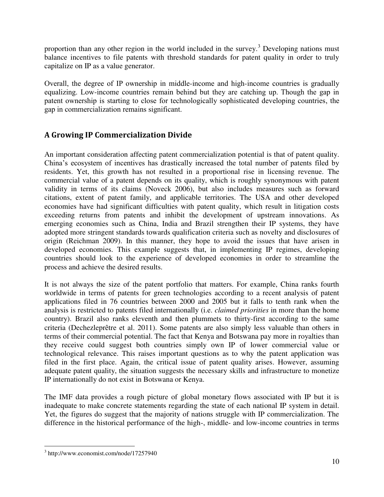proportion than any other region in the world included in the survey.<sup>3</sup> Developing nations must balance incentives to file patents with threshold standards for patent quality in order to truly capitalize on IP as a value generator.

Overall, the degree of IP ownership in middle-income and high-income countries is gradually equalizing. Low-income countries remain behind but they are catching up. Though the gap in patent ownership is starting to close for technologically sophisticated developing countries, the gap in commercialization remains significant.

#### **A Growing IP Commercialization Divide**

An important consideration affecting patent commercialization potential is that of patent quality. China's ecosystem of incentives has drastically increased the total number of patents filed by residents. Yet, this growth has not resulted in a proportional rise in licensing revenue. The commercial value of a patent depends on its quality, which is roughly synonymous with patent validity in terms of its claims (Noveck 2006), but also includes measures such as forward citations, extent of patent family, and applicable territories. The USA and other developed economies have had significant difficulties with patent quality, which result in litigation costs exceeding returns from patents and inhibit the development of upstream innovations. As emerging economies such as China, India and Brazil strengthen their IP systems, they have adopted more stringent standards towards qualification criteria such as novelty and disclosures of origin (Reichman 2009). In this manner, they hope to avoid the issues that have arisen in developed economies. This example suggests that, in implementing IP regimes, developing countries should look to the experience of developed economies in order to streamline the process and achieve the desired results.

It is not always the size of the patent portfolio that matters. For example, China ranks fourth worldwide in terms of patents for green technologies according to a recent analysis of patent applications filed in 76 countries between 2000 and 2005 but it falls to tenth rank when the analysis is restricted to patents filed internationally (i.e. *claimed priorities* in more than the home country). Brazil also ranks eleventh and then plummets to thirty-first according to the same criteria (Dechezleprêtre et al. 2011). Some patents are also simply less valuable than others in terms of their commercial potential. The fact that Kenya and Botswana pay more in royalties than they receive could suggest both countries simply own IP of lower commercial value or technological relevance. This raises important questions as to why the patent application was filed in the first place. Again, the critical issue of patent quality arises. However, assuming adequate patent quality, the situation suggests the necessary skills and infrastructure to monetize IP internationally do not exist in Botswana or Kenya.

The IMF data provides a rough picture of global monetary flows associated with IP but it is inadequate to make concrete statements regarding the state of each national IP system in detail. Yet, the figures do suggest that the majority of nations struggle with IP commercialization. The difference in the historical performance of the high-, middle- and low-income countries in terms

 3 http://www.economist.com/node/17257940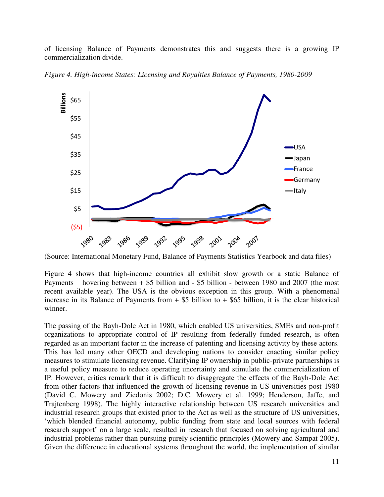of licensing Balance of Payments demonstrates this and suggests there is a growing IP commercialization divide.



Figure 4. High-income States: Licensing and Royalties Balance of Payments, 1980-2009

(Source: International Monetary Fund, Balance of Payments Statistics Yearbook and data files)

Figure 4 shows that high-income countries all exhibit slow growth or a static Balance of Payments – hovering between + \$5 billion and - \$5 billion - between 1980 and 2007 (the most recent available year). The USA is the obvious exception in this group. With a phenomenal increase in its Balance of Payments from  $+$  \$5 billion to  $+$  \$65 billion, it is the clear historical winner.

The passing of the Bayh-Dole Act in 1980, which enabled US universities, SMEs and non-profit organizations to appropriate control of IP resulting from federally funded research, is often regarded as an important factor in the increase of patenting and licensing activity by these actors. This has led many other OECD and developing nations to consider enacting similar policy measures to stimulate licensing revenue. Clarifying IP ownership in public-private partnerships is a useful policy measure to reduce operating uncertainty and stimulate the commercialization of IP. However, critics remark that it is difficult to disaggregate the effects of the Bayh-Dole Act from other factors that influenced the growth of licensing revenue in US universities post-1980 (David C. Mowery and Ziedonis 2002; D.C. Mowery et al. 1999; Henderson, Jaffe, and Trajtenberg 1998). The highly interactive relationship between US research universities and industrial research groups that existed prior to the Act as well as the structure of US universities, 'which blended financial autonomy, public funding from state and local sources with federal research support' on a large scale, resulted in research that focused on solving agricultural and industrial problems rather than pursuing purely scientific principles (Mowery and Sampat 2005). Given the difference in educational systems throughout the world, the implementation of similar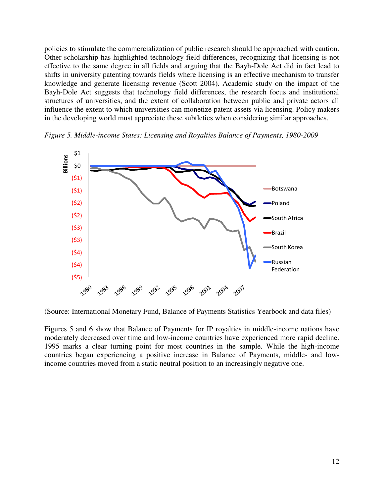policies to stimulate the commercialization of public research should be approached with caution. Other scholarship has highlighted technology field differences, recognizing that licensing is not effective to the same degree in all fields and arguing that the Bayh-Dole Act did in fact lead to shifts in university patenting towards fields where licensing is an effective mechanism to transfer knowledge and generate licensing revenue (Scott 2004). Academic study on the impact of the Bayh-Dole Act suggests that technology field differences, the research focus and institutional structures of universities, and the extent of collaboration between public and private actors all influence the extent to which universities can monetize patent assets via licensing. Policy makers in the developing world must appreciate these subtleties when considering similar approaches.

*Figure 5. Middle-income States: Licensing and Royalties Balance of Payments, 1980-2009* 



(Source: International Monetary Fund, Balance of Payments Statistics Yearbook and data files)

Figures 5 and 6 show that Balance of Payments for IP royalties in middle-income nations have moderately decreased over time and low-income countries have experienced more rapid decline. 1995 marks a clear turning point for most countries in the sample. While the high-income countries began experiencing a positive increase in Balance of Payments, middle- and lowincome countries moved from a static neutral position to an increasingly negative one.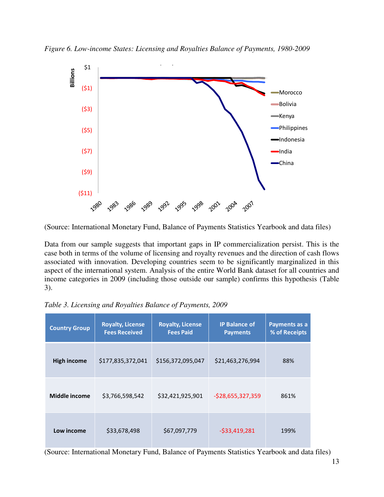*Figure 6. Low-income States: Licensing and Royalties Balance of Payments, 1980-2009* 



(Source: International Monetary Fund, Balance of Payments Statistics Yearbook and data files)

Data from our sample suggests that important gaps in IP commercialization persist. This is the case both in terms of the volume of licensing and royalty revenues and the direction of cash flows associated with innovation. Developing countries seem to be significantly marginalized in this aspect of the international system. Analysis of the entire World Bank dataset for all countries and income categories in 2009 (including those outside our sample) confirms this hypothesis (Table 3).

| <b>Country Group</b> | <b>Royalty, License</b><br><b>Fees Received</b> | <b>Royalty, License</b><br><b>Fees Paid</b> | <b>IP Balance of</b><br><b>Payments</b> | Payments as a<br>% of Receipts |
|----------------------|-------------------------------------------------|---------------------------------------------|-----------------------------------------|--------------------------------|
| <b>High income</b>   | \$177,835,372,041                               | \$156,372,095,047                           | \$21,463,276,994                        | 88%                            |
| Middle income        | \$3,766,598,542                                 | \$32,421,925,901                            | $-528,655,327,359$                      | 861%                           |
| Low income           | \$33,678,498                                    | \$67,097,779                                | $-533,419,281$                          | 199%                           |

*Table 3. Licensing and Royalties Balance of Payments, 2009* 

(Source: International Monetary Fund, Balance of Payments Statistics Yearbook and data files)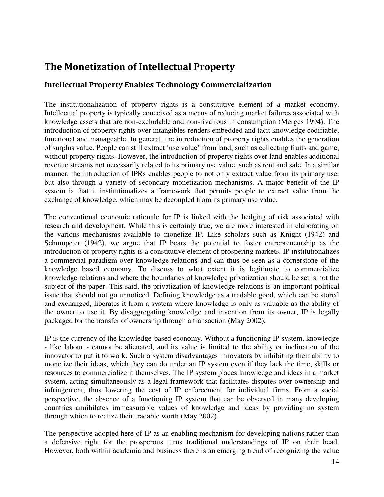# **The Monetization of Intellectual Property**

#### **Intellectual Property Enables Technology Commercialization**

The institutionalization of property rights is a constitutive element of a market economy. Intellectual property is typically conceived as a means of reducing market failures associated with knowledge assets that are non-excludable and non-rivalrous in consumption (Merges 1994). The introduction of property rights over intangibles renders embedded and tacit knowledge codifiable, functional and manageable. In general, the introduction of property rights enables the generation of surplus value. People can still extract 'use value' from land, such as collecting fruits and game, without property rights. However, the introduction of property rights over land enables additional revenue streams not necessarily related to its primary use value, such as rent and sale. In a similar manner, the introduction of IPRs enables people to not only extract value from its primary use, but also through a variety of secondary monetization mechanisms. A major benefit of the IP system is that it institutionalizes a framework that permits people to extract value from the exchange of knowledge, which may be decoupled from its primary use value.

The conventional economic rationale for IP is linked with the hedging of risk associated with research and development. While this is certainly true, we are more interested in elaborating on the various mechanisms available to monetize IP. Like scholars such as Knight (1942) and Schumpeter (1942), we argue that IP bears the potential to foster entrepreneurship as the introduction of property rights is a constitutive element of prospering markets. IP institutionalizes a commercial paradigm over knowledge relations and can thus be seen as a cornerstone of the knowledge based economy. To discuss to what extent it is legitimate to commercialize knowledge relations and where the boundaries of knowledge privatization should be set is not the subject of the paper. This said, the privatization of knowledge relations is an important political issue that should not go unnoticed. Defining knowledge as a tradable good, which can be stored and exchanged, liberates it from a system where knowledge is only as valuable as the ability of the owner to use it. By disaggregating knowledge and invention from its owner, IP is legally packaged for the transfer of ownership through a transaction (May 2002).

IP is the currency of the knowledge-based economy. Without a functioning IP system, knowledge - like labour - cannot be alienated, and its value is limited to the ability or inclination of the innovator to put it to work. Such a system disadvantages innovators by inhibiting their ability to monetize their ideas, which they can do under an IP system even if they lack the time, skills or resources to commercialize it themselves. The IP system places knowledge and ideas in a market system, acting simultaneously as a legal framework that facilitates disputes over ownership and infringement, thus lowering the cost of IP enforcement for individual firms. From a social perspective, the absence of a functioning IP system that can be observed in many developing countries annihilates immeasurable values of knowledge and ideas by providing no system through which to realize their tradable worth (May 2002).

The perspective adopted here of IP as an enabling mechanism for developing nations rather than a defensive right for the prosperous turns traditional understandings of IP on their head. However, both within academia and business there is an emerging trend of recognizing the value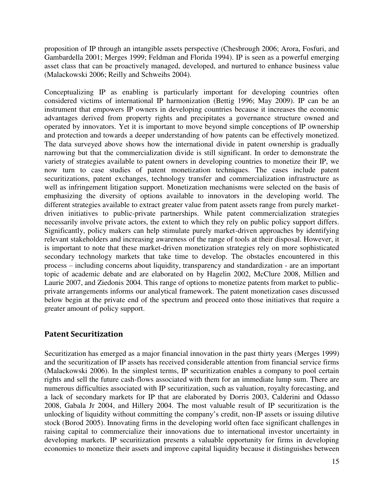proposition of IP through an intangible assets perspective (Chesbrough 2006; Arora, Fosfuri, and Gambardella 2001; Merges 1999; Feldman and Florida 1994). IP is seen as a powerful emerging asset class that can be proactively managed, developed, and nurtured to enhance business value (Malackowski 2006; Reilly and Schweihs 2004).

Conceptualizing IP as enabling is particularly important for developing countries often considered victims of international IP harmonization (Bettig 1996; May 2009). IP can be an instrument that empowers IP owners in developing countries because it increases the economic advantages derived from property rights and precipitates a governance structure owned and operated by innovators. Yet it is important to move beyond simple conceptions of IP ownership and protection and towards a deeper understanding of how patents can be effectively monetized. The data surveyed above shows how the international divide in patent ownership is gradually narrowing but that the commercialization divide is still significant. In order to demonstrate the variety of strategies available to patent owners in developing countries to monetize their IP, we now turn to case studies of patent monetization techniques. The cases include patent securitizations, patent exchanges, technology transfer and commercialization infrastructure as well as infringement litigation support. Monetization mechanisms were selected on the basis of emphasizing the diversity of options available to innovators in the developing world. The different strategies available to extract greater value from patent assets range from purely marketdriven initiatives to public-private partnerships. While patent commercialization strategies necessarily involve private actors, the extent to which they rely on public policy support differs. Significantly, policy makers can help stimulate purely market-driven approaches by identifying relevant stakeholders and increasing awareness of the range of tools at their disposal. However, it is important to note that these market-driven monetization strategies rely on more sophisticated secondary technology markets that take time to develop. The obstacles encountered in this process – including concerns about liquidity, transparency and standardization - are an important topic of academic debate and are elaborated on by Hagelin 2002, McClure 2008, Millien and Laurie 2007, and Ziedonis 2004. This range of options to monetize patents from market to publicprivate arrangements informs our analytical framework. The patent monetization cases discussed below begin at the private end of the spectrum and proceed onto those initiatives that require a greater amount of policy support.

#### **Patent Securitization**

Securitization has emerged as a major financial innovation in the past thirty years (Merges 1999) and the securitization of IP assets has received considerable attention from financial service firms (Malackowski 2006). In the simplest terms, IP securitization enables a company to pool certain rights and sell the future cash-flows associated with them for an immediate lump sum. There are numerous difficulties associated with IP securitization, such as valuation, royalty forecasting, and a lack of secondary markets for IP that are elaborated by Dorris 2003, Calderini and Odasso 2008, Gabala Jr 2004, and Hillery 2004. The most valuable result of IP securitization is the unlocking of liquidity without committing the company's credit, non-IP assets or issuing dilutive stock (Borod 2005). Innovating firms in the developing world often face significant challenges in raising capital to commercialize their innovations due to international investor uncertainty in developing markets. IP securitization presents a valuable opportunity for firms in developing economies to monetize their assets and improve capital liquidity because it distinguishes between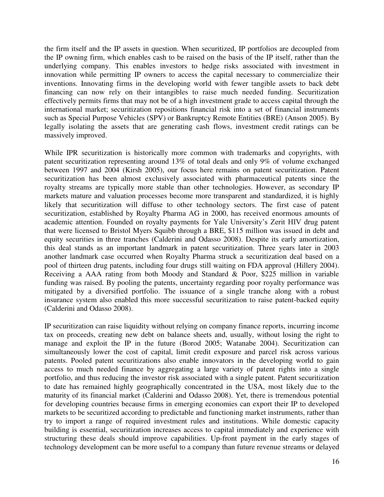the firm itself and the IP assets in question. When securitized, IP portfolios are decoupled from the IP owning firm, which enables cash to be raised on the basis of the IP itself, rather than the underlying company. This enables investors to hedge risks associated with investment in innovation while permitting IP owners to access the capital necessary to commercialize their inventions. Innovating firms in the developing world with fewer tangible assets to back debt financing can now rely on their intangibles to raise much needed funding. Securitization effectively permits firms that may not be of a high investment grade to access capital through the international market; securitization repositions financial risk into a set of financial instruments such as Special Purpose Vehicles (SPV) or Bankruptcy Remote Entities (BRE) (Anson 2005). By legally isolating the assets that are generating cash flows, investment credit ratings can be massively improved.

While IPR securitization is historically more common with trademarks and copyrights, with patent securitization representing around 13% of total deals and only 9% of volume exchanged between 1997 and 2004 (Kirsh 2005), our focus here remains on patent securitization. Patent securitization has been almost exclusively associated with pharmaceutical patents since the royalty streams are typically more stable than other technologies. However, as secondary IP markets mature and valuation processes become more transparent and standardized, it is highly likely that securitization will diffuse to other technology sectors. The first case of patent securitization, established by Royalty Pharma AG in 2000, has received enormous amounts of academic attention. Founded on royalty payments for Yale University's Zerit HIV drug patent that were licensed to Bristol Myers Squibb through a BRE, \$115 million was issued in debt and equity securities in three tranches (Calderini and Odasso 2008). Despite its early amortization, this deal stands as an important landmark in patent securitization. Three years later in 2003 another landmark case occurred when Royalty Pharma struck a securitization deal based on a pool of thirteen drug patents, including four drugs still waiting on FDA approval (Hillery 2004). Receiving a AAA rating from both Moody and Standard & Poor, \$225 million in variable funding was raised. By pooling the patents, uncertainty regarding poor royalty performance was mitigated by a diversified portfolio. The issuance of a single tranche along with a robust insurance system also enabled this more successful securitization to raise patent-backed equity (Calderini and Odasso 2008).

IP securitization can raise liquidity without relying on company finance reports, incurring income tax on proceeds, creating new debt on balance sheets and, usually, without losing the right to manage and exploit the IP in the future (Borod 2005; Watanabe 2004). Securitization can simultaneously lower the cost of capital, limit credit exposure and parcel risk across various patents. Pooled patent securitizations also enable innovators in the developing world to gain access to much needed finance by aggregating a large variety of patent rights into a single portfolio, and thus reducing the investor risk associated with a single patent. Patent securitization to date has remained highly geographically concentrated in the USA, most likely due to the maturity of its financial market (Calderini and Odasso 2008). Yet, there is tremendous potential for developing countries because firms in emerging economies can export their IP to developed markets to be securitized according to predictable and functioning market instruments, rather than try to import a range of required investment rules and institutions. While domestic capacity building is essential, securitization increases access to capital immediately and experience with structuring these deals should improve capabilities. Up-front payment in the early stages of technology development can be more useful to a company than future revenue streams or delayed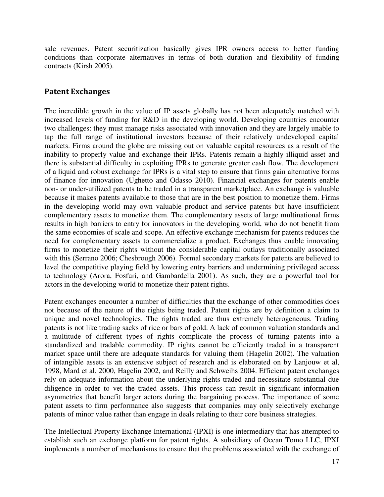sale revenues. Patent securitization basically gives IPR owners access to better funding conditions than corporate alternatives in terms of both duration and flexibility of funding contracts (Kirsh 2005).

#### **Patent Exchanges**

The incredible growth in the value of IP assets globally has not been adequately matched with increased levels of funding for R&D in the developing world. Developing countries encounter two challenges: they must manage risks associated with innovation and they are largely unable to tap the full range of institutional investors because of their relatively undeveloped capital markets. Firms around the globe are missing out on valuable capital resources as a result of the inability to properly value and exchange their IPRs. Patents remain a highly illiquid asset and there is substantial difficulty in exploiting IPRs to generate greater cash flow. The development of a liquid and robust exchange for IPRs is a vital step to ensure that firms gain alternative forms of finance for innovation (Ughetto and Odasso 2010). Financial exchanges for patents enable non- or under-utilized patents to be traded in a transparent marketplace. An exchange is valuable because it makes patents available to those that are in the best position to monetize them. Firms in the developing world may own valuable product and service patents but have insufficient complementary assets to monetize them. The complementary assets of large multinational firms results in high barriers to entry for innovators in the developing world, who do not benefit from the same economies of scale and scope. An effective exchange mechanism for patents reduces the need for complementary assets to commercialize a product. Exchanges thus enable innovating firms to monetize their rights without the considerable capital outlays traditionally associated with this (Serrano 2006; Chesbrough 2006). Formal secondary markets for patents are believed to level the competitive playing field by lowering entry barriers and undermining privileged access to technology (Arora, Fosfuri, and Gambardella 2001). As such, they are a powerful tool for actors in the developing world to monetize their patent rights.

Patent exchanges encounter a number of difficulties that the exchange of other commodities does not because of the nature of the rights being traded. Patent rights are by definition a claim to unique and novel technologies. The rights traded are thus extremely heterogeneous. Trading patents is not like trading sacks of rice or bars of gold. A lack of common valuation standards and a multitude of different types of rights complicate the process of turning patents into a standardized and tradable commodity. IP rights cannot be efficiently traded in a transparent market space until there are adequate standards for valuing them (Hagelin 2002). The valuation of intangible assets is an extensive subject of research and is elaborated on by Lanjouw et al, 1998, Mard et al. 2000, Hagelin 2002, and Reilly and Schweihs 2004. Efficient patent exchanges rely on adequate information about the underlying rights traded and necessitate substantial due diligence in order to vet the traded assets. This process can result in significant information asymmetries that benefit larger actors during the bargaining process. The importance of some patent assets to firm performance also suggests that companies may only selectively exchange patents of minor value rather than engage in deals relating to their core business strategies.

The Intellectual Property Exchange International (IPXI) is one intermediary that has attempted to establish such an exchange platform for patent rights. A subsidiary of Ocean Tomo LLC, IPXI implements a number of mechanisms to ensure that the problems associated with the exchange of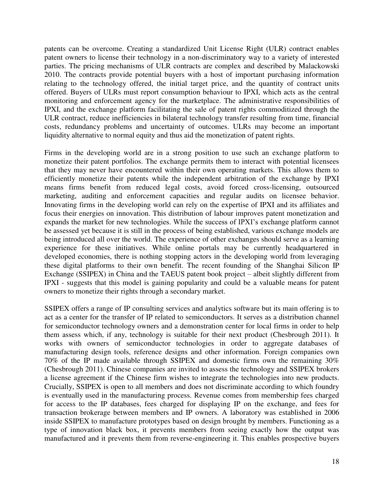patents can be overcome. Creating a standardized Unit License Right (ULR) contract enables patent owners to license their technology in a non-discriminatory way to a variety of interested parties. The pricing mechanisms of ULR contracts are complex and described by Malackowski 2010. The contracts provide potential buyers with a host of important purchasing information relating to the technology offered, the initial target price, and the quantity of contract units offered. Buyers of ULRs must report consumption behaviour to IPXI, which acts as the central monitoring and enforcement agency for the marketplace. The administrative responsibilities of IPXI, and the exchange platform facilitating the sale of patent rights commoditized through the ULR contract, reduce inefficiencies in bilateral technology transfer resulting from time, financial costs, redundancy problems and uncertainty of outcomes. ULRs may become an important liquidity alternative to normal equity and thus aid the monetization of patent rights.

Firms in the developing world are in a strong position to use such an exchange platform to monetize their patent portfolios. The exchange permits them to interact with potential licensees that they may never have encountered within their own operating markets. This allows them to efficiently monetize their patents while the independent arbitration of the exchange by IPXI means firms benefit from reduced legal costs, avoid forced cross-licensing, outsourced marketing, auditing and enforcement capacities and regular audits on licensee behavior. Innovating firms in the developing world can rely on the expertise of IPXI and its affiliates and focus their energies on innovation. This distribution of labour improves patent monetization and expands the market for new technologies. While the success of IPXI's exchange platform cannot be assessed yet because it is still in the process of being established, various exchange models are being introduced all over the world. The experience of other exchanges should serve as a learning experience for these initiatives. While online portals may be currently headquartered in developed economies, there is nothing stopping actors in the developing world from leveraging these digital platforms to their own benefit. The recent founding of the Shanghai Silicon IP Exchange (SSIPEX) in China and the TAEUS patent book project – albeit slightly different from IPXI - suggests that this model is gaining popularity and could be a valuable means for patent owners to monetize their rights through a secondary market.

SSIPEX offers a range of IP consulting services and analytics software but its main offering is to act as a center for the transfer of IP related to semiconductors. It serves as a distribution channel for semiconductor technology owners and a demonstration center for local firms in order to help them assess which, if any, technology is suitable for their next product (Chesbrough 2011). It works with owners of semiconductor technologies in order to aggregate databases of manufacturing design tools, reference designs and other information. Foreign companies own 70% of the IP made available through SSIPEX and domestic firms own the remaining 30% (Chesbrough 2011). Chinese companies are invited to assess the technology and SSIPEX brokers a license agreement if the Chinese firm wishes to integrate the technologies into new products. Crucially, SSIPEX is open to all members and does not discriminate according to which foundry is eventually used in the manufacturing process. Revenue comes from membership fees charged for access to the IP databases, fees charged for displaying IP on the exchange, and fees for transaction brokerage between members and IP owners. A laboratory was established in 2006 inside SSIPEX to manufacture prototypes based on design brought by members. Functioning as a type of innovation black box, it prevents members from seeing exactly how the output was manufactured and it prevents them from reverse-engineering it. This enables prospective buyers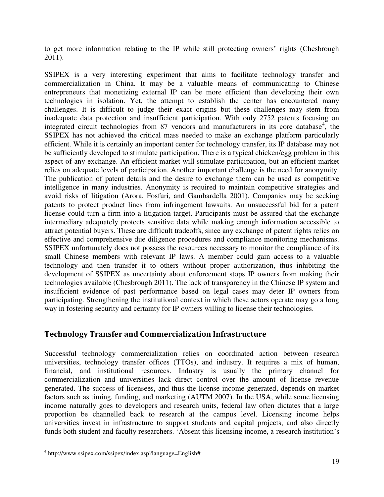to get more information relating to the IP while still protecting owners' rights (Chesbrough 2011).

SSIPEX is a very interesting experiment that aims to facilitate technology transfer and commercialization in China. It may be a valuable means of communicating to Chinese entrepreneurs that monetizing external IP can be more efficient than developing their own technologies in isolation. Yet, the attempt to establish the center has encountered many challenges. It is difficult to judge their exact origins but these challenges may stem from inadequate data protection and insufficient participation. With only 2752 patents focusing on integrated circuit technologies from 87 vendors and manufacturers in its core database<sup>4</sup>, the SSIPEX has not achieved the critical mass needed to make an exchange platform particularly efficient. While it is certainly an important center for technology transfer, its IP database may not be sufficiently developed to stimulate participation. There is a typical chicken/egg problem in this aspect of any exchange. An efficient market will stimulate participation, but an efficient market relies on adequate levels of participation. Another important challenge is the need for anonymity. The publication of patent details and the desire to exchange them can be used as competitive intelligence in many industries. Anonymity is required to maintain competitive strategies and avoid risks of litigation (Arora, Fosfuri, and Gambardella 2001). Companies may be seeking patents to protect product lines from infringement lawsuits. An unsuccessful bid for a patent license could turn a firm into a litigation target. Participants must be assured that the exchange intermediary adequately protects sensitive data while making enough information accessible to attract potential buyers. These are difficult tradeoffs, since any exchange of patent rights relies on effective and comprehensive due diligence procedures and compliance monitoring mechanisms. SSIPEX unfortunately does not possess the resources necessary to monitor the compliance of its small Chinese members with relevant IP laws. A member could gain access to a valuable technology and then transfer it to others without proper authorization, thus inhibiting the development of SSIPEX as uncertainty about enforcement stops IP owners from making their technologies available (Chesbrough 2011). The lack of transparency in the Chinese IP system and insufficient evidence of past performance based on legal cases may deter IP owners from participating. Strengthening the institutional context in which these actors operate may go a long way in fostering security and certainty for IP owners willing to license their technologies.

#### **Technology Transfer and Commercialization Infrastructure**

Successful technology commercialization relies on coordinated action between research universities, technology transfer offices (TTOs), and industry. It requires a mix of human, financial, and institutional resources. Industry is usually the primary channel for commercialization and universities lack direct control over the amount of license revenue generated. The success of licensees, and thus the license income generated, depends on market factors such as timing, funding, and marketing (AUTM 2007). In the USA, while some licensing income naturally goes to developers and research units, federal law often dictates that a large proportion be channelled back to research at the campus level. Licensing income helps universities invest in infrastructure to support students and capital projects, and also directly funds both student and faculty researchers. 'Absent this licensing income, a research institution's

 4 http://www.ssipex.com/ssipex/index.asp?language=English#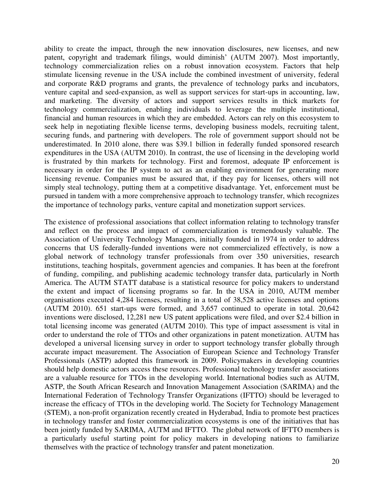ability to create the impact, through the new innovation disclosures, new licenses, and new patent, copyright and trademark filings, would diminish' (AUTM 2007). Most importantly, technology commercialization relies on a robust innovation ecosystem. Factors that help stimulate licensing revenue in the USA include the combined investment of university, federal and corporate R&D programs and grants, the prevalence of technology parks and incubators, venture capital and seed-expansion, as well as support services for start-ups in accounting, law, and marketing. The diversity of actors and support services results in thick markets for technology commercialization, enabling individuals to leverage the multiple institutional, financial and human resources in which they are embedded. Actors can rely on this ecosystem to seek help in negotiating flexible license terms, developing business models, recruiting talent, securing funds, and partnering with developers. The role of government support should not be underestimated. In 2010 alone, there was \$39.1 billion in federally funded sponsored research expenditures in the USA (AUTM 2010). In contrast, the use of licensing in the developing world is frustrated by thin markets for technology. First and foremost, adequate IP enforcement is necessary in order for the IP system to act as an enabling environment for generating more licensing revenue. Companies must be assured that, if they pay for licenses, others will not simply steal technology, putting them at a competitive disadvantage. Yet, enforcement must be pursued in tandem with a more comprehensive approach to technology transfer, which recognizes the importance of technology parks, venture capital and monetization support services.

The existence of professional associations that collect information relating to technology transfer and reflect on the process and impact of commercialization is tremendously valuable. The Association of University Technology Managers, initially founded in 1974 in order to address concerns that US federally-funded inventions were not commercialized effectively, is now a global network of technology transfer professionals from over 350 universities, research institutions, teaching hospitals, government agencies and companies. It has been at the forefront of funding, compiling, and publishing academic technology transfer data, particularly in North America. The AUTM STATT database is a statistical resource for policy makers to understand the extent and impact of licensing programs so far. In the USA in 2010, AUTM member organisations executed 4,284 licenses, resulting in a total of 38,528 active licenses and options (AUTM 2010). 651 start-ups were formed, and 3,657 continued to operate in total. 20,642 inventions were disclosed, 12,281 new US patent applications were filed, and over \$2.4 billion in total licensing income was generated (AUTM 2010). This type of impact assessment is vital in order to understand the role of TTOs and other organizations in patent monetization. AUTM has developed a universal licensing survey in order to support technology transfer globally through accurate impact measurement. The Association of European Science and Technology Transfer Professionals (ASTP) adopted this framework in 2009. Policymakers in developing countries should help domestic actors access these resources. Professional technology transfer associations are a valuable resource for TTOs in the developing world. International bodies such as AUTM, ASTP, the South African Research and Innovation Management Association (SARIMA) and the International Federation of Technology Transfer Organizations (IFTTO) should be leveraged to increase the efficacy of TTOs in the developing world. The Society for Technology Management (STEM), a non-profit organization recently created in Hyderabad, India to promote best practices in technology transfer and foster commercialization ecosystems is one of the initiatives that has been jointly funded by SARIMA, AUTM and IFTTO. The global network of IFTTO members is a particularly useful starting point for policy makers in developing nations to familiarize themselves with the practice of technology transfer and patent monetization.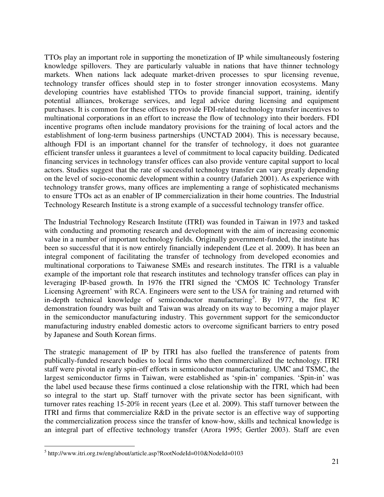TTOs play an important role in supporting the monetization of IP while simultaneously fostering knowledge spillovers. They are particularly valuable in nations that have thinner technology markets. When nations lack adequate market-driven processes to spur licensing revenue, technology transfer offices should step in to foster stronger innovation ecosystems. Many developing countries have established TTOs to provide financial support, training, identify potential alliances, brokerage services, and legal advice during licensing and equipment purchases. It is common for these offices to provide FDI-related technology transfer incentives to multinational corporations in an effort to increase the flow of technology into their borders. FDI incentive programs often include mandatory provisions for the training of local actors and the establishment of long-term business partnerships (UNCTAD 2004). This is necessary because, although FDI is an important channel for the transfer of technology, it does not guarantee efficient transfer unless it guarantees a level of commitment to local capacity building. Dedicated financing services in technology transfer offices can also provide venture capital support to local actors. Studies suggest that the rate of successful technology transfer can vary greatly depending on the level of socio-economic development within a country (Jafarieh 2001). As experience with technology transfer grows, many offices are implementing a range of sophisticated mechanisms to ensure TTOs act as an enabler of IP commercialization in their home countries. The Industrial Technology Research Institute is a strong example of a successful technology transfer office.

The Industrial Technology Research Institute (ITRI) was founded in Taiwan in 1973 and tasked with conducting and promoting research and development with the aim of increasing economic value in a number of important technology fields. Originally government-funded, the institute has been so successful that it is now entirely financially independent (Lee et al. 2009). It has been an integral component of facilitating the transfer of technology from developed economies and multinational corporations to Taiwanese SMEs and research institutes. The ITRI is a valuable example of the important role that research institutes and technology transfer offices can play in leveraging IP-based growth. In 1976 the ITRI signed the 'CMOS IC Technology Transfer Licensing Agreement' with RCA. Engineers were sent to the USA for training and returned with in-depth technical knowledge of semiconductor manufacturing<sup>5</sup>. By 1977, the first IC demonstration foundry was built and Taiwan was already on its way to becoming a major player in the semiconductor manufacturing industry. This government support for the semiconductor manufacturing industry enabled domestic actors to overcome significant barriers to entry posed by Japanese and South Korean firms.

The strategic management of IP by ITRI has also fuelled the transference of patents from publically-funded research bodies to local firms who then commercialized the technology. ITRI staff were pivotal in early spin-off efforts in semiconductor manufacturing. UMC and TSMC, the largest semiconductor firms in Taiwan, were established as 'spin-in' companies. 'Spin-in' was the label used because these firms continued a close relationship with the ITRI, which had been so integral to the start up. Staff turnover with the private sector has been significant, with turnover rates reaching 15-20% in recent years (Lee et al. 2009). This staff turnover between the ITRI and firms that commercialize R&D in the private sector is an effective way of supporting the commercialization process since the transfer of know-how, skills and technical knowledge is an integral part of effective technology transfer (Arora 1995; Gertler 2003). Staff are even

 5 http://www.itri.org.tw/eng/about/article.asp?RootNodeId=010&NodeId=0103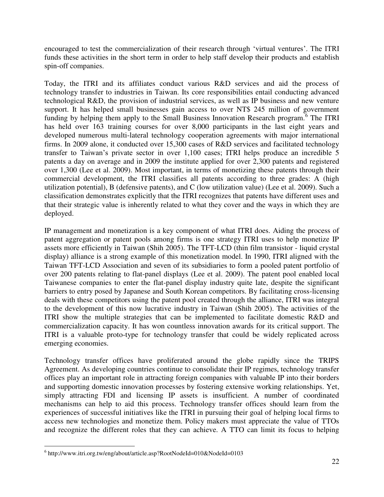encouraged to test the commercialization of their research through 'virtual ventures'. The ITRI funds these activities in the short term in order to help staff develop their products and establish spin-off companies.

Today, the ITRI and its affiliates conduct various R&D services and aid the process of technology transfer to industries in Taiwan. Its core responsibilities entail conducting advanced technological R&D, the provision of industrial services, as well as IP business and new venture support. It has helped small businesses gain access to over NT\$ 245 million of government funding by helping them apply to the Small Business Innovation Research program.<sup>6</sup> The ITRI has held over 163 training courses for over 8,000 participants in the last eight years and developed numerous multi-lateral technology cooperation agreements with major international firms. In 2009 alone, it conducted over 15,300 cases of R&D services and facilitated technology transfer to Taiwan's private sector in over 1,100 cases; ITRI helps produce an incredible 5 patents a day on average and in 2009 the institute applied for over 2,300 patents and registered over 1,300 (Lee et al. 2009). Most important, in terms of monetizing these patents through their commercial development, the ITRI classifies all patents according to three grades: A (high utilization potential), B (defensive patents), and C (low utilization value) (Lee et al. 2009). Such a classification demonstrates explicitly that the ITRI recognizes that patents have different uses and that their strategic value is inherently related to what they cover and the ways in which they are deployed.

IP management and monetization is a key component of what ITRI does. Aiding the process of patent aggregation or patent pools among firms is one strategy ITRI uses to help monetize IP assets more efficiently in Taiwan (Shih 2005). The TFT-LCD (thin film transistor - liquid crystal display) alliance is a strong example of this monetization model. In 1990, ITRI aligned with the Taiwan TFT-LCD Association and seven of its subsidiaries to form a pooled patent portfolio of over 200 patents relating to flat-panel displays (Lee et al. 2009). The patent pool enabled local Taiwanese companies to enter the flat-panel display industry quite late, despite the significant barriers to entry posed by Japanese and South Korean competitors. By facilitating cross-licensing deals with these competitors using the patent pool created through the alliance, ITRI was integral to the development of this now lucrative industry in Taiwan (Shih 2005). The activities of the ITRI show the multiple strategies that can be implemented to facilitate domestic R&D and commercialization capacity. It has won countless innovation awards for its critical support. The ITRI is a valuable proto-type for technology transfer that could be widely replicated across emerging economies.

Technology transfer offices have proliferated around the globe rapidly since the TRIPS Agreement. As developing countries continue to consolidate their IP regimes, technology transfer offices play an important role in attracting foreign companies with valuable IP into their borders and supporting domestic innovation processes by fostering extensive working relationships. Yet, simply attracting FDI and licensing IP assets is insufficient. A number of coordinated mechanisms can help to aid this process. Technology transfer offices should learn from the experiences of successful initiatives like the ITRI in pursuing their goal of helping local firms to access new technologies and monetize them. Policy makers must appreciate the value of TTOs and recognize the different roles that they can achieve. A TTO can limit its focus to helping

 6 http://www.itri.org.tw/eng/about/article.asp?RootNodeId=010&NodeId=0103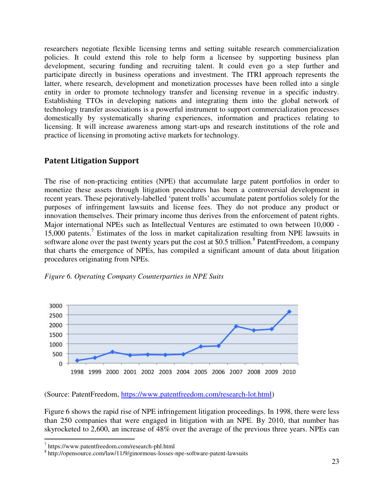researchers negotiate flexible licensing terms and setting suitable research commercialization policies. It could extend this role to help form a licensee by supporting business plan development, securing funding and recruiting talent. It could even go a step further and participate directly in business operations and investment. The ITRI approach represents the latter, where research, development and monetization processes have been rolled into a single entity in order to promote technology transfer and licensing revenue in a specific industry. Establishing TTOs in developing nations and integrating them into the global network of technology transfer associations is a powerful instrument to support commercialization processes domestically by systematically sharing experiences, information and practices relating to licensing. It will increase awareness among start-ups and research institutions of the role and practice of licensing in promoting active markets for technology.

#### **Patent Litigation Support**

The rise of non-practicing entities (NPE) that accumulate large patent portfolios in order to monetize these assets through litigation procedures has been a controversial development in recent years. These pejoratively-labelled 'patent trolls' accumulate patent portfolios solely for the purposes of infringement lawsuits and license fees. They do not produce any product or innovation themselves. Their primary income thus derives from the enforcement of patent rights. Major international NPEs such as Intellectual Ventures are estimated to own between 10,000 - 15,000 patents.<sup>7</sup> Estimates of the loss in market capitalization resulting from NPE lawsuits in software alone over the past twenty years put the cost at \$0.5 trillion.<sup>8</sup> PatentFreedom, a company that charts the emergence of NPEs, has compiled a significant amount of data about litigation procedures originating from NPEs.



*Figure 6. Operating Company Counterparties in NPE Suits*

(Source: PatentFreedom, [https://www.patentfreedom.com/research-lot.html\)](https://www.patentfreedom.com/research-lot.html)

Figure 6 shows the rapid rise of NPE infringement litigation proceedings. In 1998, there were less than 250 companies that were engaged in litigation with an NPE. By 2010, that number has skyrocketed to 2,600, an increase of 48% over the average of the previous three years. NPEs can

 $\overline{a}$ 

<sup>7</sup> https://www.patentfreedom.com/research-phl.html

<sup>8</sup> http://opensource.com/law/11/9/ginormous-losses-npe-software-patent-lawsuits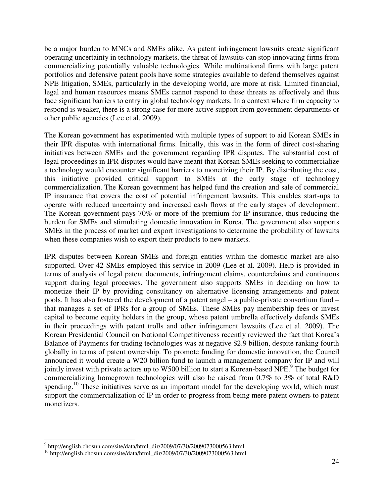be a major burden to MNCs and SMEs alike. As patent infringement lawsuits create significant operating uncertainty in technology markets, the threat of lawsuits can stop innovating firms from commercializing potentially valuable technologies. While multinational firms with large patent portfolios and defensive patent pools have some strategies available to defend themselves against NPE litigation, SMEs, particularly in the developing world, are more at risk. Limited financial, legal and human resources means SMEs cannot respond to these threats as effectively and thus face significant barriers to entry in global technology markets. In a context where firm capacity to respond is weaker, there is a strong case for more active support from government departments or other public agencies (Lee et al. 2009).

The Korean government has experimented with multiple types of support to aid Korean SMEs in their IPR disputes with international firms. Initially, this was in the form of direct cost-sharing initiatives between SMEs and the government regarding IPR disputes. The substantial cost of legal proceedings in IPR disputes would have meant that Korean SMEs seeking to commercialize a technology would encounter significant barriers to monetizing their IP. By distributing the cost, this initiative provided critical support to SMEs at the early stage of technology commercialization. The Korean government has helped fund the creation and sale of commercial IP insurance that covers the cost of potential infringement lawsuits. This enables start-ups to operate with reduced uncertainty and increased cash flows at the early stages of development. The Korean government pays 70% or more of the premium for IP insurance, thus reducing the burden for SMEs and stimulating domestic innovation in Korea. The government also supports SMEs in the process of market and export investigations to determine the probability of lawsuits when these companies wish to export their products to new markets.

IPR disputes between Korean SMEs and foreign entities within the domestic market are also supported. Over 42 SMEs employed this service in 2009 (Lee et al. 2009). Help is provided in terms of analysis of legal patent documents, infringement claims, counterclaims and continuous support during legal processes. The government also supports SMEs in deciding on how to monetize their IP by providing consultancy on alternative licensing arrangements and patent pools. It has also fostered the development of a patent angel – a public-private consortium fund – that manages a set of IPRs for a group of SMEs. These SMEs pay membership fees or invest capital to become equity holders in the group, whose patent umbrella effectively defends SMEs in their proceedings with patent trolls and other infringement lawsuits (Lee et al. 2009). The Korean Presidential Council on National Competitiveness recently reviewed the fact that Korea's Balance of Payments for trading technologies was at negative \$2.9 billion, despite ranking fourth globally in terms of patent ownership. To promote funding for domestic innovation, the Council announced it would create a W20 billion fund to launch a management company for IP and will jointly invest with private actors up to W500 billion to start a Korean-based NPE.<sup>9</sup> The budget for commercializing homegrown technologies will also be raised from 0.7% to 3% of total R&D spending.<sup>10</sup> These initiatives serve as an important model for the developing world, which must support the commercialization of IP in order to progress from being mere patent owners to patent monetizers.

 $\overline{a}$ 

<sup>9</sup> http://english.chosun.com/site/data/html\_dir/2009/07/30/2009073000563.html

<sup>10</sup> http://english.chosun.com/site/data/html\_dir/2009/07/30/2009073000563.html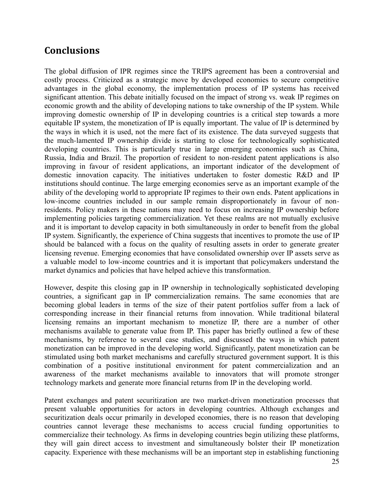# **Conclusions**

The global diffusion of IPR regimes since the TRIPS agreement has been a controversial and costly process. Criticized as a strategic move by developed economies to secure competitive advantages in the global economy, the implementation process of IP systems has received significant attention. This debate initially focused on the impact of strong vs. weak IP regimes on economic growth and the ability of developing nations to take ownership of the IP system. While improving domestic ownership of IP in developing countries is a critical step towards a more equitable IP system, the monetization of IP is equally important. The value of IP is determined by the ways in which it is used, not the mere fact of its existence. The data surveyed suggests that the much-lamented IP ownership divide is starting to close for technologically sophisticated developing countries. This is particularly true in large emerging economies such as China, Russia, India and Brazil. The proportion of resident to non-resident patent applications is also improving in favour of resident applications, an important indicator of the development of domestic innovation capacity. The initiatives undertaken to foster domestic R&D and IP institutions should continue. The large emerging economies serve as an important example of the ability of the developing world to appropriate IP regimes to their own ends. Patent applications in low-income countries included in our sample remain disproportionately in favour of nonresidents. Policy makers in these nations may need to focus on increasing IP ownership before implementing policies targeting commercialization. Yet these realms are not mutually exclusive and it is important to develop capacity in both simultaneously in order to benefit from the global IP system. Significantly, the experience of China suggests that incentives to promote the use of IP should be balanced with a focus on the quality of resulting assets in order to generate greater licensing revenue. Emerging economies that have consolidated ownership over IP assets serve as a valuable model to low-income countries and it is important that policymakers understand the market dynamics and policies that have helped achieve this transformation.

However, despite this closing gap in IP ownership in technologically sophisticated developing countries, a significant gap in IP commercialization remains. The same economies that are becoming global leaders in terms of the size of their patent portfolios suffer from a lack of corresponding increase in their financial returns from innovation. While traditional bilateral licensing remains an important mechanism to monetize IP, there are a number of other mechanisms available to generate value from IP. This paper has briefly outlined a few of these mechanisms, by reference to several case studies, and discussed the ways in which patent monetization can be improved in the developing world. Significantly, patent monetization can be stimulated using both market mechanisms and carefully structured government support. It is this combination of a positive institutional environment for patent commercialization and an awareness of the market mechanisms available to innovators that will promote stronger technology markets and generate more financial returns from IP in the developing world.

Patent exchanges and patent securitization are two market-driven monetization processes that present valuable opportunities for actors in developing countries. Although exchanges and securitization deals occur primarily in developed economies, there is no reason that developing countries cannot leverage these mechanisms to access crucial funding opportunities to commercialize their technology. As firms in developing countries begin utilizing these platforms, they will gain direct access to investment and simultaneously bolster their IP monetization capacity. Experience with these mechanisms will be an important step in establishing functioning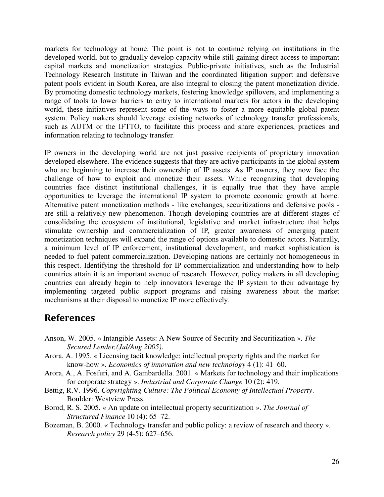markets for technology at home. The point is not to continue relying on institutions in the developed world, but to gradually develop capacity while still gaining direct access to important capital markets and monetization strategies. Public-private initiatives, such as the Industrial Technology Research Institute in Taiwan and the coordinated litigation support and defensive patent pools evident in South Korea, are also integral to closing the patent monetization divide. By promoting domestic technology markets, fostering knowledge spillovers, and implementing a range of tools to lower barriers to entry to international markets for actors in the developing world, these initiatives represent some of the ways to foster a more equitable global patent system. Policy makers should leverage existing networks of technology transfer professionals, such as AUTM or the IFTTO, to facilitate this process and share experiences, practices and information relating to technology transfer.

IP owners in the developing world are not just passive recipients of proprietary innovation developed elsewhere. The evidence suggests that they are active participants in the global system who are beginning to increase their ownership of IP assets. As IP owners, they now face the challenge of how to exploit and monetize their assets. While recognizing that developing countries face distinct institutional challenges, it is equally true that they have ample opportunities to leverage the international IP system to promote economic growth at home. Alternative patent monetization methods - like exchanges, securitizations and defensive pools are still a relatively new phenomenon. Though developing countries are at different stages of consolidating the ecosystem of institutional, legislative and market infrastructure that helps stimulate ownership and commercialization of IP, greater awareness of emerging patent monetization techniques will expand the range of options available to domestic actors. Naturally, a minimum level of IP enforcement, institutional development, and market sophistication is needed to fuel patent commercialization. Developing nations are certainly not homogeneous in this respect. Identifying the threshold for IP commercialization and understanding how to help countries attain it is an important avenue of research. However, policy makers in all developing countries can already begin to help innovators leverage the IP system to their advantage by implementing targeted public support programs and raising awareness about the market mechanisms at their disposal to monetize IP more effectively.

### **References**

- Anson, W. 2005. « Intangible Assets: A New Source of Security and Securitization ». *The Secured Lender,(Jul/Aug 2005)*.
- Arora, A. 1995. « Licensing tacit knowledge: intellectual property rights and the market for know-how ». *Economics of innovation and new technology* 4 (1): 41–60.
- Arora, A., A. Fosfuri, and A. Gambardella. 2001. « Markets for technology and their implications for corporate strategy ». *Industrial and Corporate Change* 10 (2): 419.
- Bettig, R.V. 1996. *Copyrighting Culture: The Political Economy of Intellectual Property*. Boulder: Westview Press.
- Borod, R. S. 2005. « An update on intellectual property securitization ». *The Journal of Structured Finance* 10 (4): 65–72.
- Bozeman, B. 2000. « Technology transfer and public policy: a review of research and theory ». *Research policy* 29 (4-5): 627–656.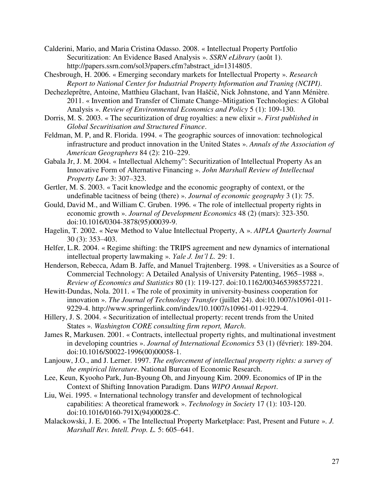- Calderini, Mario, and Maria Cristina Odasso. 2008. « Intellectual Property Portfolio Securitization: An Evidence Based Analysis ». *SSRN eLibrary* (août 1). http://papers.ssrn.com/sol3/papers.cfm?abstract\_id=1314805.
- Chesbrough, H. 2006. « Emerging secondary markets for Intellectual Property ». *Research Report to National Center for Industrial Property Information and Traning (NCIPI)*.
- Dechezleprêtre, Antoine, Matthieu Glachant, Ivan Haščič, Nick Johnstone, and Yann Ménière. 2011. « Invention and Transfer of Climate Change–Mitigation Technologies: A Global Analysis ». *Review of Environmental Economics and Policy* 5 (1): 109-130.
- Dorris, M. S. 2003. « The securitization of drug royalties: a new elixir ». *First published in Global Securitisation and Structured Finance*.
- Feldman, M. P, and R. Florida. 1994. « The geographic sources of innovation: technological infrastructure and product innovation in the United States ». *Annals of the Association of American Geographers* 84 (2): 210–229.
- Gabala Jr, J. M. 2004. « Intellectual Alchemy": Securitization of Intellectual Property As an Innovative Form of Alternative Financing ». *John Marshall Review of Intellectual Property Law* 3: 307–323.
- Gertler, M. S. 2003. « Tacit knowledge and the economic geography of context, or the undefinable tacitness of being (there) ». *Journal of economic geography* 3 (1): 75.
- Gould, David M., and William C. Gruben. 1996. « The role of intellectual property rights in economic growth ». *Journal of Development Economics* 48 (2) (mars): 323-350. doi:10.1016/0304-3878(95)00039-9.
- Hagelin, T. 2002. « New Method to Value Intellectual Property, A ». *AIPLA Quarterly Journal* 30 (3): 353–403.
- Helfer, L.R. 2004. « Regime shifting: the TRIPS agreement and new dynamics of international intellectual property lawmaking ». *Yale J. Int'l L.* 29: 1.
- Henderson, Rebecca, Adam B. Jaffe, and Manuel Trajtenberg. 1998. « Universities as a Source of Commercial Technology: A Detailed Analysis of University Patenting, 1965–1988 ». *Review of Economics and Statistics* 80 (1): 119-127. doi:10.1162/003465398557221.
- Hewitt-Dundas, Nola. 2011. « The role of proximity in university-business cooperation for innovation ». *The Journal of Technology Transfer* (juillet 24). doi:10.1007/s10961-011- 9229-4. http://www.springerlink.com/index/10.1007/s10961-011-9229-4.
- Hillery, J. S. 2004. « Securitization of intellectual property: recent trends from the United States ». *Washington CORE consulting firm report, March*.
- James R, Markusen. 2001. « Contracts, intellectual property rights, and multinational investment in developing countries ». *Journal of International Economics* 53 (1) (février): 189-204. doi:10.1016/S0022-1996(00)00058-1.
- Lanjouw, J.O., and J. Lerner. 1997. *The enforcement of intellectual property rights: a survey of the empirical literature*. National Bureau of Economic Research.
- Lee, Keun, Kyooho Park, Jun-Byoung Oh, and Jinyoung Kim. 2009. Economics of IP in the Context of Shifting Innovation Paradigm. Dans *WIPO Annual Report*.
- Liu, Wei. 1995. « International technology transfer and development of technological capabilities: A theoretical framework ». *Technology in Society* 17 (1): 103-120. doi:10.1016/0160-791X(94)00028-C.
- Malackowski, J. E. 2006. « The Intellectual Property Marketplace: Past, Present and Future ». *J. Marshall Rev. Intell. Prop. L.* 5: 605–641.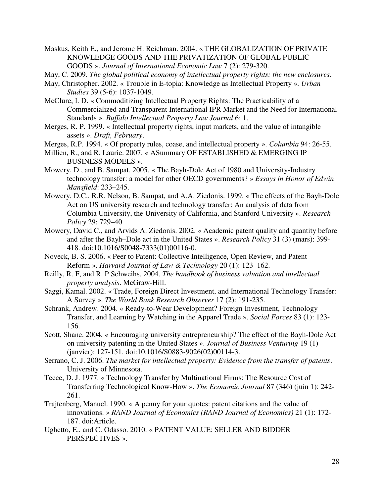Maskus, Keith E., and Jerome H. Reichman. 2004. « THE GLOBALIZATION OF PRIVATE KNOWLEDGE GOODS AND THE PRIVATIZATION OF GLOBAL PUBLIC GOODS ». *Journal of International Economic Law* 7 (2): 279-320.

May, C. 2009. *The global political economy of intellectual property rights: the new enclosures*.

- May, Christopher. 2002. « Trouble in E-topia: Knowledge as Intellectual Property ». *Urban Studies* 39 (5-6): 1037-1049.
- McClure, I. D. « Commoditizing Intellectual Property Rights: The Practicability of a Commercialized and Transparent International IPR Market and the Need for International Standards ». *Buffalo Intellectual Property Law Journal* 6: 1.
- Merges, R. P. 1999. « Intellectual property rights, input markets, and the value of intangible assets ». *Draft, February*.
- Merges, R.P. 1994. « Of property rules, coase, and intellectual property ». *Columbia* 94: 26-55.
- Millien, R., and R. Laurie. 2007. « ASummary OF ESTABLISHED & EMERGING IP BUSINESS MODELS ».
- Mowery, D., and B. Sampat. 2005. « The Bayh-Dole Act of 1980 and University-Industry technology transfer: a model for other OECD governments? » *Essays in Honor of Edwin Mansfield*: 233–245.
- Mowery, D.C., R.R. Nelson, B. Sampat, and A.A. Ziedonis. 1999. « The effects of the Bayh-Dole Act on US university research and technology transfer: An analysis of data from Columbia University, the University of California, and Stanford University ». *Research Policy* 29: 729–40.
- Mowery, David C., and Arvids A. Ziedonis. 2002. « Academic patent quality and quantity before and after the Bayh–Dole act in the United States ». *Research Policy* 31 (3) (mars): 399- 418. doi:10.1016/S0048-7333(01)00116-0.
- Noveck, B. S. 2006. « Peer to Patent: Collective Intelligence, Open Review, and Patent Reform ». *Harvard Journal of Law & Technology* 20 (1): 123–162.
- Reilly, R. F, and R. P Schweihs. 2004. *The handbook of business valuation and intellectual property analysis*. McGraw-Hill.
- Saggi, Kamal. 2002. « Trade, Foreign Direct Investment, and International Technology Transfer: A Survey ». *The World Bank Research Observer* 17 (2): 191-235.
- Schrank, Andrew. 2004. « Ready-to-Wear Development? Foreign Investment, Technology Transfer, and Learning by Watching in the Apparel Trade ». *Social Forces* 83 (1): 123- 156.
- Scott, Shane. 2004. « Encouraging university entrepreneurship? The effect of the Bayh-Dole Act on university patenting in the United States ». *Journal of Business Venturing* 19 (1) (janvier): 127-151. doi:10.1016/S0883-9026(02)00114-3.
- Serrano, C. J. 2006. *The market for intellectual property: Evidence from the transfer of patents*. University of Minnesota.
- Teece, D. J. 1977. « Technology Transfer by Multinational Firms: The Resource Cost of Transferring Technological Know-How ». *The Economic Journal* 87 (346) (juin 1): 242- 261.
- Trajtenberg, Manuel. 1990. « A penny for your quotes: patent citations and the value of innovations. » *RAND Journal of Economics (RAND Journal of Economics)* 21 (1): 172- 187. doi:Article.
- Ughetto, E., and C. Odasso. 2010. « PATENT VALUE: SELLER AND BIDDER PERSPECTIVES ».